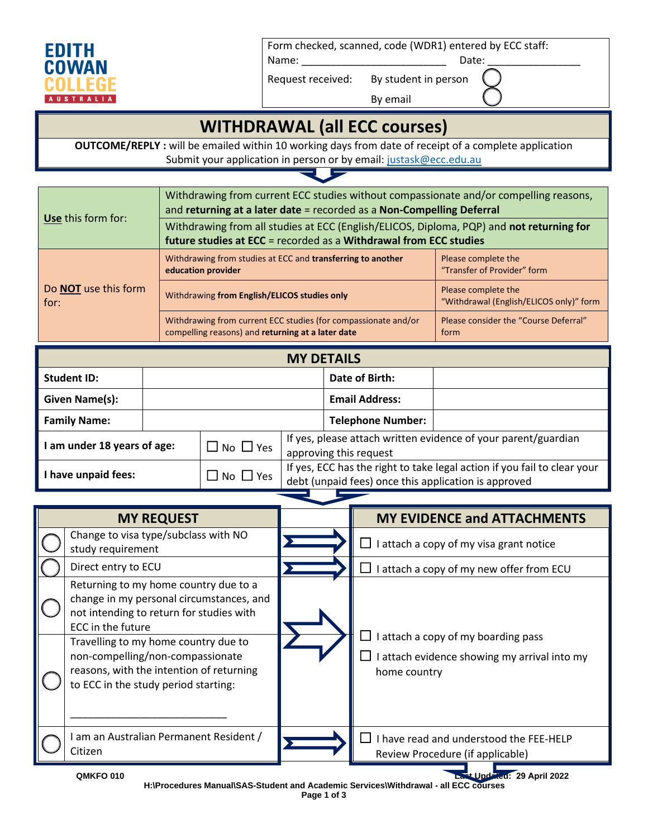

Form checked, scanned, code (WDR1) entered by ECC staff:

Name: \_\_\_\_\_\_\_\_\_\_\_\_\_\_\_\_\_\_\_\_\_\_\_\_\_ Date: \_\_\_\_\_\_\_\_\_\_\_\_\_\_\_\_

Request received: By student in person

By email

## **WITHDRAWAL (all ECC courses)**

**OUTCOME/REPLY :** will be emailed within 10 working days from date of receipt of a complete application Submit your application in person or by email[: justask@ecc.edu.au](mailto:justask@ecc.edu.au)

|                                     | Withdrawing from current ECC studies without compassionate and/or compelling reasons,<br>and returning at a later date = recorded as a Non-Compelling Deferral |                                                                |  |
|-------------------------------------|----------------------------------------------------------------------------------------------------------------------------------------------------------------|----------------------------------------------------------------|--|
| Use this form for:                  | Withdrawing from all studies at ECC (English/ELICOS, Diploma, PQP) and not returning for<br>future studies at ECC = recorded as a Withdrawal from ECC studies  |                                                                |  |
|                                     | Withdrawing from studies at ECC and transferring to another<br>education provider                                                                              | Please complete the<br>"Transfer of Provider" form             |  |
| Do <b>NOT</b> use this form<br>for: | Withdrawing from English/ELICOS studies only                                                                                                                   | Please complete the<br>"Withdrawal (English/ELICOS only)" form |  |
|                                     | Withdrawing from current ECC studies (for compassionate and/or<br>compelling reasons) and returning at a later date                                            | Please consider the "Course Deferral"<br>form                  |  |

| <b>MY DETAILS</b>   |                                                                                                                                                     |                      |                                                                                                                                  |                       |  |
|---------------------|-----------------------------------------------------------------------------------------------------------------------------------------------------|----------------------|----------------------------------------------------------------------------------------------------------------------------------|-----------------------|--|
| <b>Student ID:</b>  |                                                                                                                                                     |                      |                                                                                                                                  | Date of Birth:        |  |
| Given Name(s):      |                                                                                                                                                     |                      |                                                                                                                                  | <b>Email Address:</b> |  |
| <b>Family Name:</b> |                                                                                                                                                     |                      | <b>Telephone Number:</b>                                                                                                         |                       |  |
|                     | If yes, please attach written evidence of your parent/guardian<br>$\square$ No $\square$ Yes<br>am under 18 years of age:<br>approving this request |                      |                                                                                                                                  |                       |  |
| have unpaid fees:   |                                                                                                                                                     | $\Box$ No $\Box$ Yes | If yes, ECC has the right to take legal action if you fail to clear your<br>debt (unpaid fees) once this application is approved |                       |  |

| <b>MY REQUEST</b>                                                                                                                                                                                                                                                                                                  | <b>MY EVIDENCE and ATTACHMENTS</b>                                                                  |
|--------------------------------------------------------------------------------------------------------------------------------------------------------------------------------------------------------------------------------------------------------------------------------------------------------------------|-----------------------------------------------------------------------------------------------------|
| Change to visa type/subclass with NO<br>study requirement                                                                                                                                                                                                                                                          | l attach a copy of my visa grant notice                                                             |
| Direct entry to ECU                                                                                                                                                                                                                                                                                                | I attach a copy of my new offer from ECU                                                            |
| Returning to my home country due to a<br>change in my personal circumstances, and<br>not intending to return for studies with<br>ECC in the future<br>Travelling to my home country due to<br>non-compelling/non-compassionate<br>reasons, with the intention of returning<br>to ECC in the study period starting: | I attach a copy of my boarding pass<br>I attach evidence showing my arrival into my<br>home country |
| am an Australian Permanent Resident /<br>Citizen                                                                                                                                                                                                                                                                   | I have read and understood the FEE-HELP<br>Review Procedure (if applicable)                         |
| QMKFO 010                                                                                                                                                                                                                                                                                                          | Last Updated: 29 April 2022                                                                         |

**H:\Procedures Manual\SAS-Student and Academic Services\Withdrawal - all ECC courses Page 1 of 3**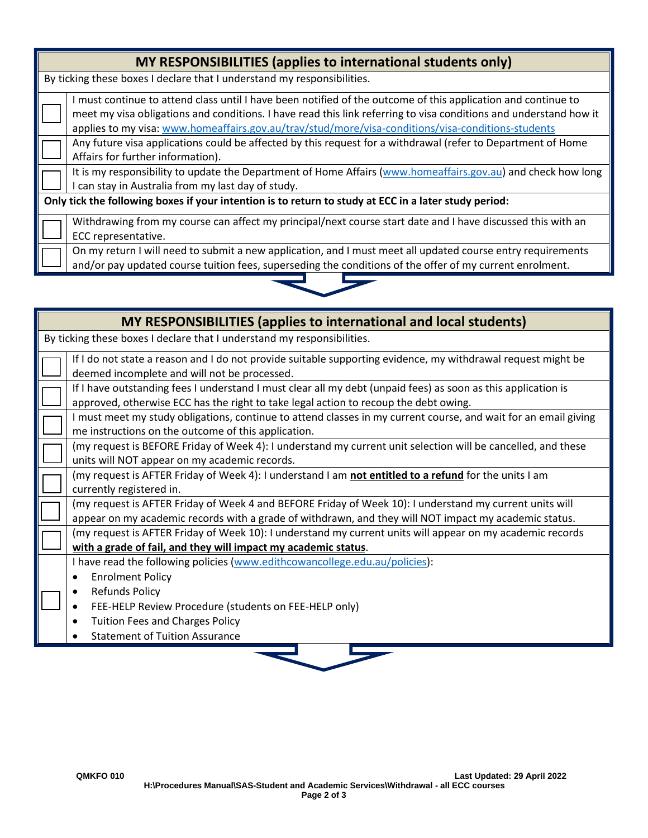| MY RESPONSIBILITIES (applies to international students only)                                          |                                                                                                                                                                                                                                                                                                                                          |  |
|-------------------------------------------------------------------------------------------------------|------------------------------------------------------------------------------------------------------------------------------------------------------------------------------------------------------------------------------------------------------------------------------------------------------------------------------------------|--|
| By ticking these boxes I declare that I understand my responsibilities.                               |                                                                                                                                                                                                                                                                                                                                          |  |
|                                                                                                       | I must continue to attend class until I have been notified of the outcome of this application and continue to<br>meet my visa obligations and conditions. I have read this link referring to visa conditions and understand how it<br>applies to my visa: www.homeaffairs.gov.au/trav/stud/more/visa-conditions/visa-conditions-students |  |
|                                                                                                       | Any future visa applications could be affected by this request for a withdrawal (refer to Department of Home<br>Affairs for further information).                                                                                                                                                                                        |  |
|                                                                                                       | It is my responsibility to update the Department of Home Affairs (www.homeaffairs.gov.au) and check how long<br>I can stay in Australia from my last day of study.                                                                                                                                                                       |  |
| Only tick the following boxes if your intention is to return to study at ECC in a later study period: |                                                                                                                                                                                                                                                                                                                                          |  |
|                                                                                                       | Withdrawing from my course can affect my principal/next course start date and I have discussed this with an<br>ECC representative.                                                                                                                                                                                                       |  |
|                                                                                                       | On my return I will need to submit a new application, and I must meet all updated course entry requirements<br>and/or pay updated course tuition fees, superseding the conditions of the offer of my current enrolment.                                                                                                                  |  |
|                                                                                                       |                                                                                                                                                                                                                                                                                                                                          |  |

| <b>MY RESPONSIBILITIES (applies to international and local students)</b>                                                                                                                                         |
|------------------------------------------------------------------------------------------------------------------------------------------------------------------------------------------------------------------|
| By ticking these boxes I declare that I understand my responsibilities.                                                                                                                                          |
| If I do not state a reason and I do not provide suitable supporting evidence, my withdrawal request might be<br>deemed incomplete and will not be processed.                                                     |
| If I have outstanding fees I understand I must clear all my debt (unpaid fees) as soon as this application is<br>approved, otherwise ECC has the right to take legal action to recoup the debt owing.            |
| I must meet my study obligations, continue to attend classes in my current course, and wait for an email giving<br>me instructions on the outcome of this application.                                           |
| (my request is BEFORE Friday of Week 4): I understand my current unit selection will be cancelled, and these<br>units will NOT appear on my academic records.                                                    |
| (my request is AFTER Friday of Week 4): I understand I am not entitled to a refund for the units I am<br>currently registered in.                                                                                |
| (my request is AFTER Friday of Week 4 and BEFORE Friday of Week 10): I understand my current units will<br>appear on my academic records with a grade of withdrawn, and they will NOT impact my academic status. |
| (my request is AFTER Friday of Week 10): I understand my current units will appear on my academic records<br>with a grade of fail, and they will impact my academic status.                                      |
| I have read the following policies (www.edithcowancollege.edu.au/policies):<br><b>Enrolment Policy</b><br>$\bullet$<br><b>Refunds Policy</b><br>FEE-HELP Review Procedure (students on FEE-HELP only)            |
| <b>Tuition Fees and Charges Policy</b><br>$\bullet$<br><b>Statement of Tuition Assurance</b>                                                                                                                     |

L